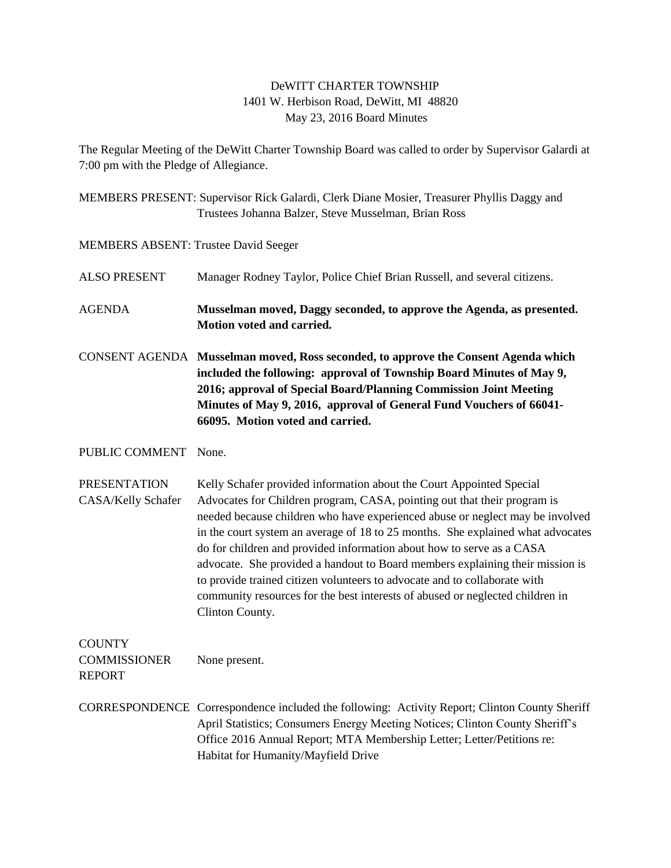## DeWITT CHARTER TOWNSHIP 1401 W. Herbison Road, DeWitt, MI 48820 May 23, 2016 Board Minutes

The Regular Meeting of the DeWitt Charter Township Board was called to order by Supervisor Galardi at 7:00 pm with the Pledge of Allegiance.

MEMBERS PRESENT: Supervisor Rick Galardi, Clerk Diane Mosier, Treasurer Phyllis Daggy and Trustees Johanna Balzer, Steve Musselman, Brian Ross

MEMBERS ABSENT: Trustee David Seeger

ALSO PRESENT Manager Rodney Taylor, Police Chief Brian Russell, and several citizens.

AGENDA **Musselman moved, Daggy seconded, to approve the Agenda, as presented. Motion voted and carried.**

CONSENT AGENDA **Musselman moved, Ross seconded, to approve the Consent Agenda which included the following: approval of Township Board Minutes of May 9, 2016; approval of Special Board/Planning Commission Joint Meeting Minutes of May 9, 2016, approval of General Fund Vouchers of 66041- 66095. Motion voted and carried.**

PUBLIC COMMENT None.

PRESENTATION Kelly Schafer provided information about the Court Appointed Special CASA/Kelly Schafer Advocates for Children program, CASA, pointing out that their program is needed because children who have experienced abuse or neglect may be involved in the court system an average of 18 to 25 months. She explained what advocates do for children and provided information about how to serve as a CASA advocate. She provided a handout to Board members explaining their mission is to provide trained citizen volunteers to advocate and to collaborate with community resources for the best interests of abused or neglected children in Clinton County.

**COUNTY** COMMISSIONER None present. REPORT

CORRESPONDENCE Correspondence included the following: Activity Report; Clinton County Sheriff April Statistics; Consumers Energy Meeting Notices; Clinton County Sheriff's Office 2016 Annual Report; MTA Membership Letter; Letter/Petitions re: Habitat for Humanity/Mayfield Drive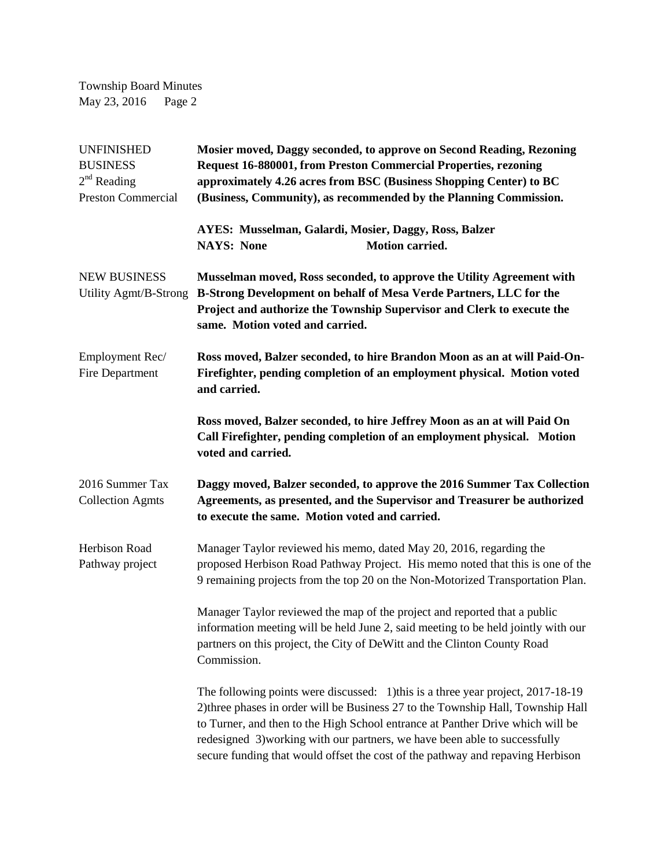Township Board Minutes May 23, 2016 Page 2

| <b>UNFINISHED</b><br><b>BUSINESS</b><br>$2nd$ Reading<br><b>Preston Commercial</b> | Mosier moved, Daggy seconded, to approve on Second Reading, Rezoning<br><b>Request 16-880001, from Preston Commercial Properties, rezoning</b><br>approximately 4.26 acres from BSC (Business Shopping Center) to BC<br>(Business, Community), as recommended by the Planning Commission.                                                                                                                              |
|------------------------------------------------------------------------------------|------------------------------------------------------------------------------------------------------------------------------------------------------------------------------------------------------------------------------------------------------------------------------------------------------------------------------------------------------------------------------------------------------------------------|
|                                                                                    | AYES: Musselman, Galardi, Mosier, Daggy, Ross, Balzer<br><b>Motion carried.</b><br><b>NAYS: None</b>                                                                                                                                                                                                                                                                                                                   |
| <b>NEW BUSINESS</b><br>Utility Agmt/B-Strong                                       | Musselman moved, Ross seconded, to approve the Utility Agreement with<br>B-Strong Development on behalf of Mesa Verde Partners, LLC for the<br>Project and authorize the Township Supervisor and Clerk to execute the<br>same. Motion voted and carried.                                                                                                                                                               |
| Employment Rec/<br>Fire Department                                                 | Ross moved, Balzer seconded, to hire Brandon Moon as an at will Paid-On-<br>Firefighter, pending completion of an employment physical. Motion voted<br>and carried.                                                                                                                                                                                                                                                    |
|                                                                                    | Ross moved, Balzer seconded, to hire Jeffrey Moon as an at will Paid On<br>Call Firefighter, pending completion of an employment physical. Motion<br>voted and carried.                                                                                                                                                                                                                                                |
| 2016 Summer Tax<br><b>Collection Agmts</b>                                         | Daggy moved, Balzer seconded, to approve the 2016 Summer Tax Collection<br>Agreements, as presented, and the Supervisor and Treasurer be authorized<br>to execute the same. Motion voted and carried.                                                                                                                                                                                                                  |
| Herbison Road<br>Pathway project                                                   | Manager Taylor reviewed his memo, dated May 20, 2016, regarding the<br>proposed Herbison Road Pathway Project. His memo noted that this is one of the<br>9 remaining projects from the top 20 on the Non-Motorized Transportation Plan.                                                                                                                                                                                |
|                                                                                    | Manager Taylor reviewed the map of the project and reported that a public<br>information meeting will be held June 2, said meeting to be held jointly with our<br>partners on this project, the City of DeWitt and the Clinton County Road<br>Commission.                                                                                                                                                              |
|                                                                                    | The following points were discussed: 1) this is a three year project, 2017-18-19<br>2) three phases in order will be Business 27 to the Township Hall, Township Hall<br>to Turner, and then to the High School entrance at Panther Drive which will be<br>redesigned 3) working with our partners, we have been able to successfully<br>secure funding that would offset the cost of the pathway and repaving Herbison |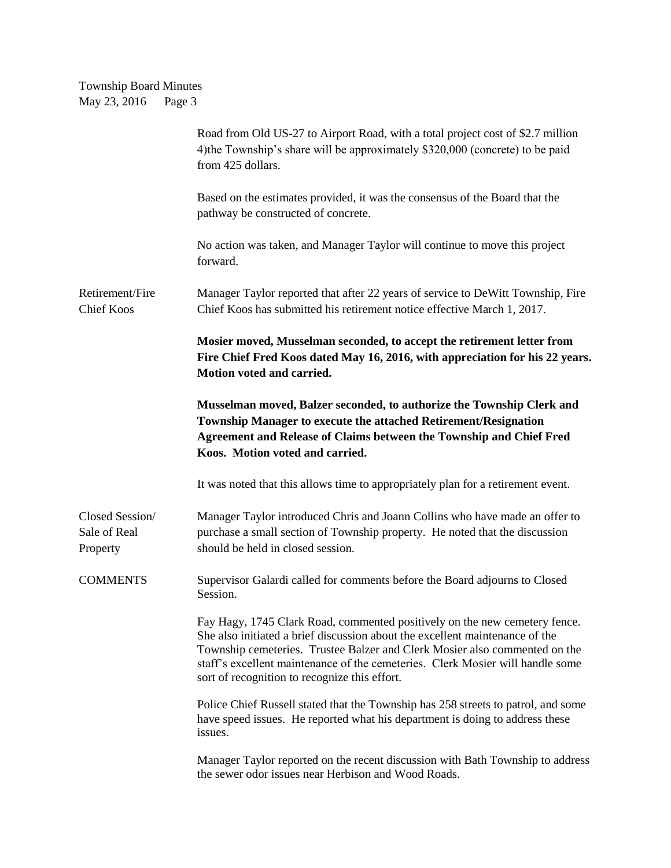Township Board Minutes May 23, 2016 Page 3

|                                             | Road from Old US-27 to Airport Road, with a total project cost of \$2.7 million<br>4) the Township's share will be approximately \$320,000 (concrete) to be paid<br>from 425 dollars.                                                                                                                                                                                       |
|---------------------------------------------|-----------------------------------------------------------------------------------------------------------------------------------------------------------------------------------------------------------------------------------------------------------------------------------------------------------------------------------------------------------------------------|
|                                             | Based on the estimates provided, it was the consensus of the Board that the<br>pathway be constructed of concrete.                                                                                                                                                                                                                                                          |
|                                             | No action was taken, and Manager Taylor will continue to move this project<br>forward.                                                                                                                                                                                                                                                                                      |
| Retirement/Fire<br><b>Chief Koos</b>        | Manager Taylor reported that after 22 years of service to DeWitt Township, Fire<br>Chief Koos has submitted his retirement notice effective March 1, 2017.                                                                                                                                                                                                                  |
|                                             | Mosier moved, Musselman seconded, to accept the retirement letter from<br>Fire Chief Fred Koos dated May 16, 2016, with appreciation for his 22 years.<br>Motion voted and carried.                                                                                                                                                                                         |
|                                             | Musselman moved, Balzer seconded, to authorize the Township Clerk and<br>Township Manager to execute the attached Retirement/Resignation<br>Agreement and Release of Claims between the Township and Chief Fred<br>Koos. Motion voted and carried.                                                                                                                          |
|                                             | It was noted that this allows time to appropriately plan for a retirement event.                                                                                                                                                                                                                                                                                            |
| Closed Session/<br>Sale of Real<br>Property | Manager Taylor introduced Chris and Joann Collins who have made an offer to<br>purchase a small section of Township property. He noted that the discussion<br>should be held in closed session.                                                                                                                                                                             |
| <b>COMMENTS</b>                             | Supervisor Galardi called for comments before the Board adjourns to Closed<br>Session.                                                                                                                                                                                                                                                                                      |
|                                             | Fay Hagy, 1745 Clark Road, commented positively on the new cemetery fence.<br>She also initiated a brief discussion about the excellent maintenance of the<br>Township cemeteries. Trustee Balzer and Clerk Mosier also commented on the<br>staff's excellent maintenance of the cemeteries. Clerk Mosier will handle some<br>sort of recognition to recognize this effort. |
|                                             | Police Chief Russell stated that the Township has 258 streets to patrol, and some<br>have speed issues. He reported what his department is doing to address these<br>issues.                                                                                                                                                                                                |
|                                             | Manager Taylor reported on the recent discussion with Bath Township to address<br>the sewer odor issues near Herbison and Wood Roads.                                                                                                                                                                                                                                       |